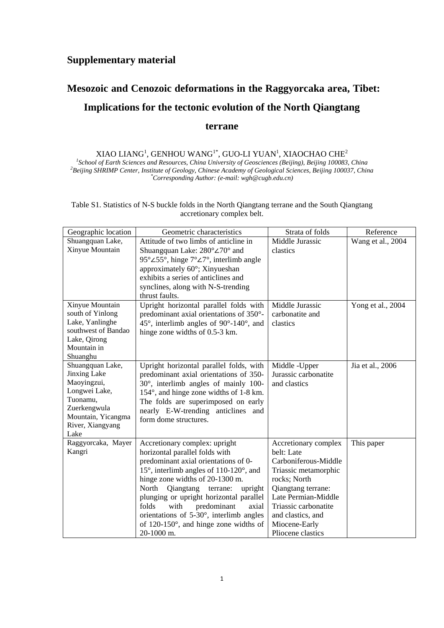## **Supplementary material**

## **Mesozoic and Cenozoic deformations in the Raggyorcaka area, Tibet: Implications for the tectonic evolution of the North Qiangtang terrane**

XIAO LIANG<sup>1</sup>, GENHOU WANG<sup>1\*</sup>, GUO-LI YUAN<sup>1</sup>, XIAOCHAO CHE<sup>2</sup><br><sup>1</sup>School of Earth Sciences and Resources, China University of Geosciences (Beijing), Beijing 100083, China<br><sup>2</sup>Peijing SUPIMP Center, Institute of Ceology, Ch *Beijing SHRIMP Center, Institute of Geology, Chinese Academy of Geological Sciences, Beijing 100037, China \* Corresponding Author: (e-mail: wgh@cugb.edu.cn)* 

Table S1. Statistics of N-S buckle folds in the North Qiangtang terrane and the South Qiangtang accretionary complex belt.

| Geographic location      | Geometric characteristics                                              | Strata of folds      | Reference         |
|--------------------------|------------------------------------------------------------------------|----------------------|-------------------|
| Shuangquan Lake,         | Attitude of two limbs of anticline in                                  | Middle Jurassic      | Wang et al., 2004 |
| Xinyue Mountain          | Shuangquan Lake: 280°∠70° and                                          | clastics             |                   |
|                          | 95°∠55°, hinge 7°∠7°, interlimb angle                                  |                      |                   |
|                          | approximately 60°; Xinyueshan                                          |                      |                   |
|                          | exhibits a series of anticlines and                                    |                      |                   |
|                          | synclines, along with N-S-trending                                     |                      |                   |
|                          | thrust faults.                                                         |                      |                   |
| Xinyue Mountain          | Upright horizontal parallel folds with                                 | Middle Jurassic      | Yong et al., 2004 |
| south of Yinlong         | predominant axial orientations of 350°-                                | carbonatite and      |                   |
| Lake, Yanlinghe          | $45^{\circ}$ , interlimb angles of 90 $^{\circ}$ -140 $^{\circ}$ , and | clastics             |                   |
| southwest of Bandao      | hinge zone widths of 0.5-3 km.                                         |                      |                   |
| Lake, Qirong             |                                                                        |                      |                   |
| Mountain in              |                                                                        |                      |                   |
| Shuanghu                 |                                                                        |                      |                   |
| Shuangquan Lake,         | Upright horizontal parallel folds, with                                | Middle -Upper        | Jia et al., 2006  |
| Jinxing Lake             | predominant axial orientations of 350-                                 | Jurassic carbonatite |                   |
| Maoyingzui,              | $30^\circ$ , interlimb angles of mainly 100-                           | and clastics         |                   |
| Longwei Lake,            | 154°, and hinge zone widths of 1-8 km.                                 |                      |                   |
| Tuonamu,<br>Zuerkengwula | The folds are superimposed on early                                    |                      |                   |
| Mountain, Yicangma       | nearly E-W-trending anticlines and                                     |                      |                   |
| River, Xiangyang         | form dome structures.                                                  |                      |                   |
| Lake                     |                                                                        |                      |                   |
| Raggyorcaka, Mayer       | Accretionary complex: upright                                          | Accretionary complex | This paper        |
| Kangri                   | horizontal parallel folds with                                         | belt: Late           |                   |
|                          | predominant axial orientations of 0-                                   | Carboniferous-Middle |                   |
|                          | 15°, interlimb angles of $110-120$ °, and                              | Triassic metamorphic |                   |
|                          | hinge zone widths of 20-1300 m.                                        | rocks; North         |                   |
|                          | North<br>Qiangtang<br>upright<br>terrane:                              | Qiangtang terrane:   |                   |
|                          | plunging or upright horizontal parallel                                | Late Permian-Middle  |                   |
|                          | folds<br>with<br>predominant<br>axial                                  | Triassic carbonatite |                   |
|                          | orientations of $5-30^\circ$ , interlimb angles                        | and clastics, and    |                   |
|                          | of $120-150^\circ$ , and hinge zone widths of                          | Miocene-Early        |                   |
|                          | 20-1000 m.                                                             | Pliocene clastics    |                   |